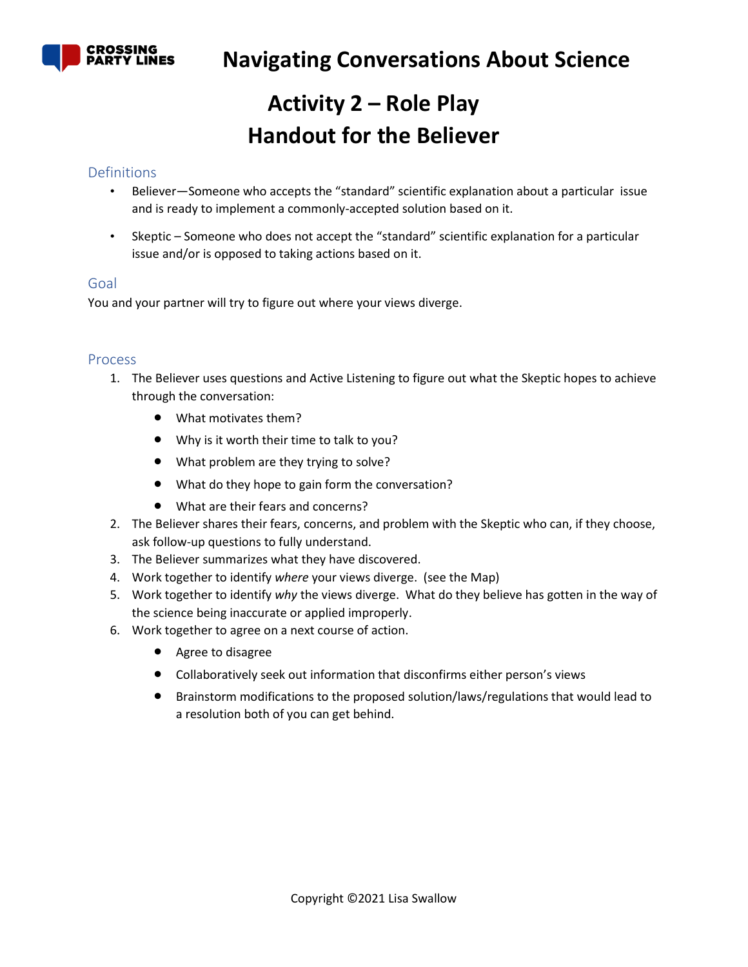

# **Activity 2 – Role Play Handout for the Believer**

### **Definitions**

- Believer—Someone who accepts the "standard" scientific explanation about a particular issue and is ready to implement a commonly-accepted solution based on it.
- Skeptic Someone who does not accept the "standard" scientific explanation for a particular issue and/or is opposed to taking actions based on it.

#### Goal

You and your partner will try to figure out where your views diverge.

#### Process

- 1. The Believer uses questions and Active Listening to figure out what the Skeptic hopes to achieve through the conversation:
	- What motivates them?
	- Why is it worth their time to talk to you?
	- What problem are they trying to solve?
	- What do they hope to gain form the conversation?
	- What are their fears and concerns?
- 2. The Believer shares their fears, concerns, and problem with the Skeptic who can, if they choose, ask follow-up questions to fully understand.
- 3. The Believer summarizes what they have discovered.
- 4. Work together to identify *where* your views diverge. (see the Map)
- 5. Work together to identify *why* the views diverge. What do they believe has gotten in the way of the science being inaccurate or applied improperly.
- 6. Work together to agree on a next course of action.
	- Agree to disagree
	- Collaboratively seek out information that disconfirms either person's views
	- Brainstorm modifications to the proposed solution/laws/regulations that would lead to a resolution both of you can get behind.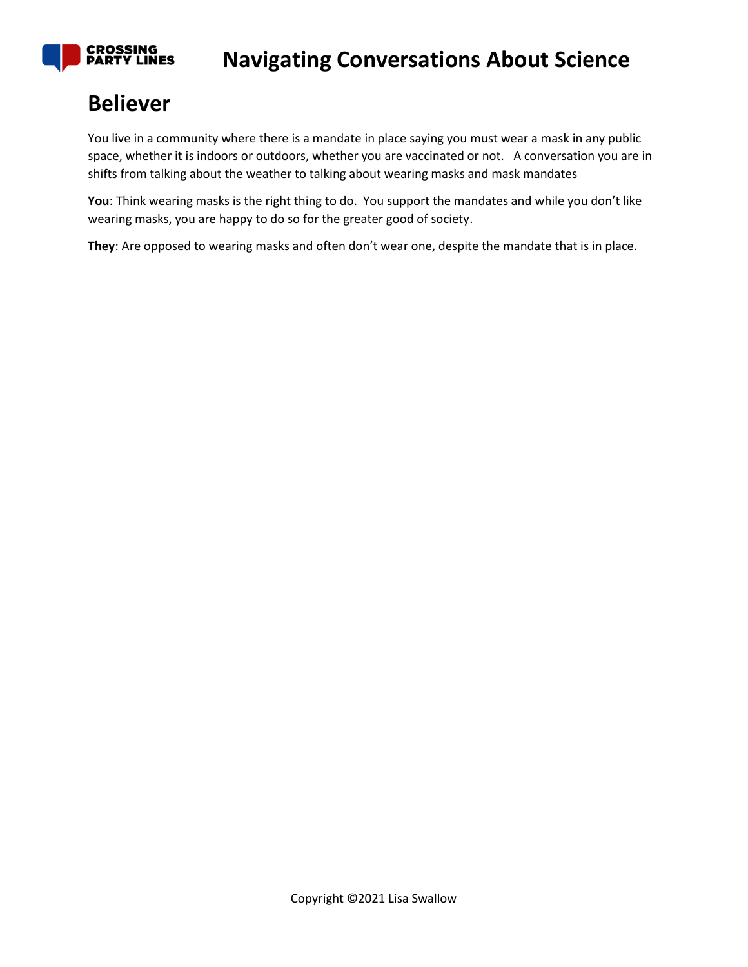

## **Believer**

You live in a community where there is a mandate in place saying you must wear a mask in any public space, whether it is indoors or outdoors, whether you are vaccinated or not. A conversation you are in shifts from talking about the weather to talking about wearing masks and mask mandates

**You**: Think wearing masks is the right thing to do. You support the mandates and while you don't like wearing masks, you are happy to do so for the greater good of society.

**They**: Are opposed to wearing masks and often don't wear one, despite the mandate that is in place.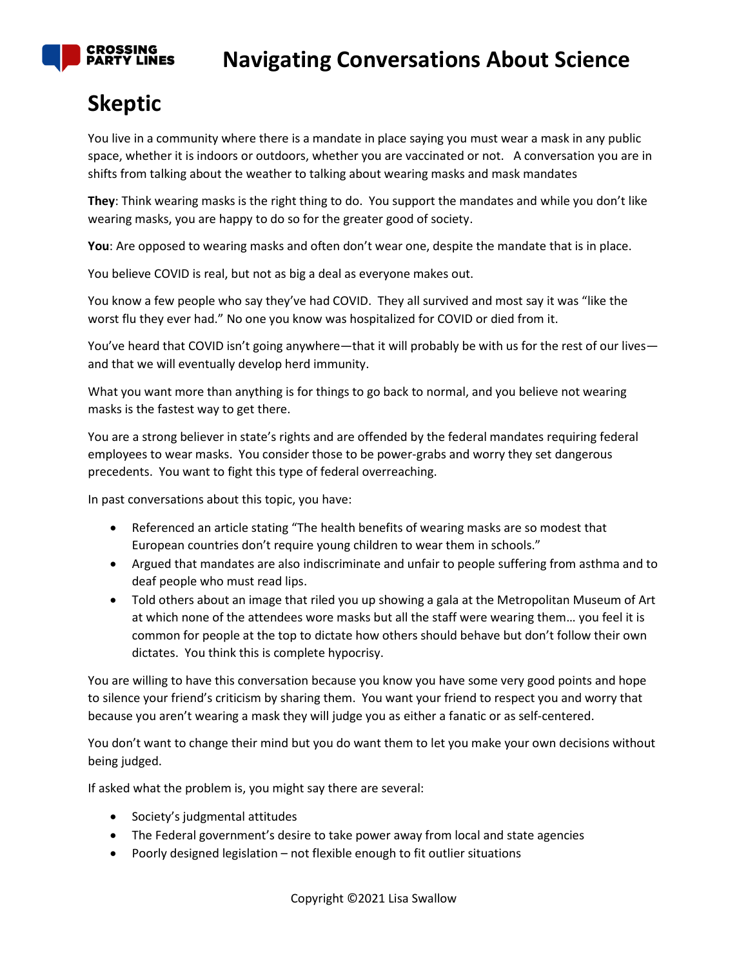

# **Skeptic**

You live in a community where there is a mandate in place saying you must wear a mask in any public space, whether it is indoors or outdoors, whether you are vaccinated or not. A conversation you are in shifts from talking about the weather to talking about wearing masks and mask mandates

**They**: Think wearing masks is the right thing to do. You support the mandates and while you don't like wearing masks, you are happy to do so for the greater good of society.

**You**: Are opposed to wearing masks and often don't wear one, despite the mandate that is in place.

You believe COVID is real, but not as big a deal as everyone makes out.

You know a few people who say they've had COVID. They all survived and most say it was "like the worst flu they ever had." No one you know was hospitalized for COVID or died from it.

You've heard that COVID isn't going anywhere—that it will probably be with us for the rest of our lives and that we will eventually develop herd immunity.

What you want more than anything is for things to go back to normal, and you believe not wearing masks is the fastest way to get there.

You are a strong believer in state's rights and are offended by the federal mandates requiring federal employees to wear masks. You consider those to be power-grabs and worry they set dangerous precedents. You want to fight this type of federal overreaching.

In past conversations about this topic, you have:

- Referenced an article stating "The health benefits of wearing masks are so modest that European countries don't require young children to wear them in schools."
- Argued that mandates are also indiscriminate and unfair to people suffering from asthma and to deaf people who must read lips.
- Told others about an image that riled you up showing a gala at the Metropolitan Museum of Art at which none of the attendees wore masks but all the staff were wearing them… you feel it is common for people at the top to dictate how others should behave but don't follow their own dictates. You think this is complete hypocrisy.

You are willing to have this conversation because you know you have some very good points and hope to silence your friend's criticism by sharing them. You want your friend to respect you and worry that because you aren't wearing a mask they will judge you as either a fanatic or as self-centered.

You don't want to change their mind but you do want them to let you make your own decisions without being judged.

If asked what the problem is, you might say there are several:

- Society's judgmental attitudes
- The Federal government's desire to take power away from local and state agencies
- Poorly designed legislation not flexible enough to fit outlier situations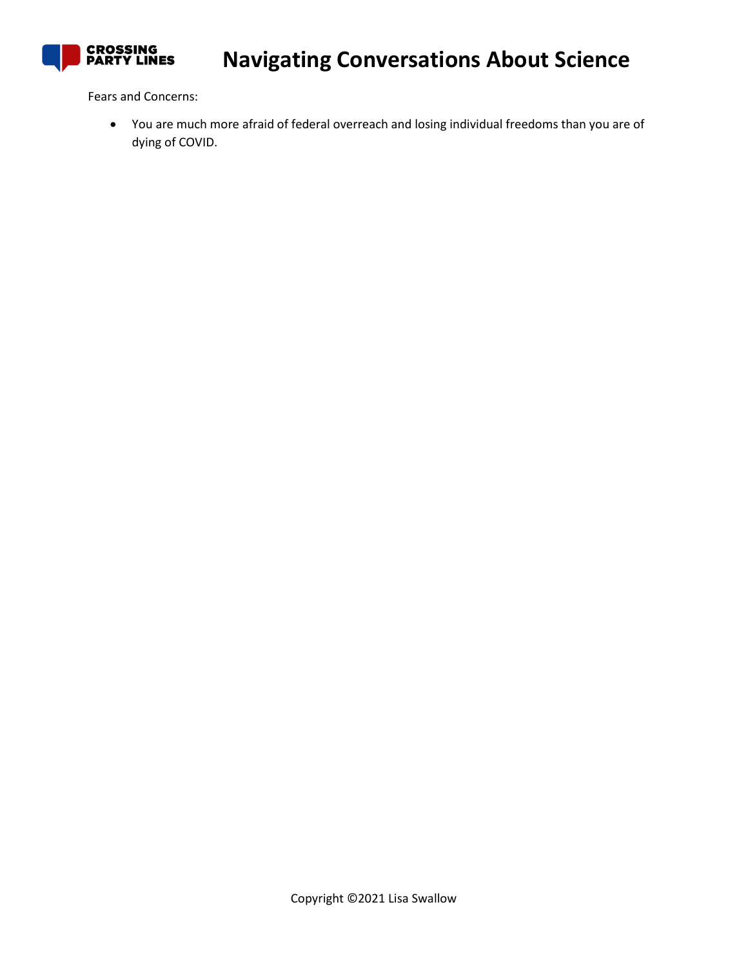

Fears and Concerns:

• You are much more afraid of federal overreach and losing individual freedoms than you are of dying of COVID.